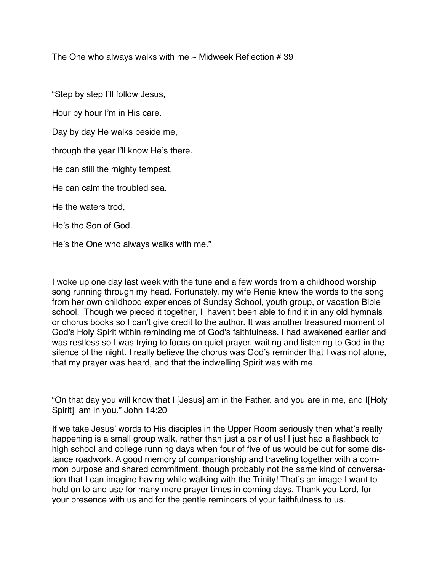The One who always walks with me  $\sim$  Midweek Reflection # 39

"Step by step I'll follow Jesus,

Hour by hour I'm in His care.

Day by day He walks beside me,

through the year I'll know He's there.

He can still the mighty tempest,

He can calm the troubled sea.

He the waters trod,

He's the Son of God.

He's the One who always walks with me."

I woke up one day last week with the tune and a few words from a childhood worship song running through my head. Fortunately, my wife Renie knew the words to the song from her own childhood experiences of Sunday School, youth group, or vacation Bible school. Though we pieced it together, I haven't been able to find it in any old hymnals or chorus books so I can't give credit to the author. It was another treasured moment of God's Holy Spirit within reminding me of God's faithfulness. I had awakened earlier and was restless so I was trying to focus on quiet prayer. waiting and listening to God in the silence of the night. I really believe the chorus was God's reminder that I was not alone, that my prayer was heard, and that the indwelling Spirit was with me.

"On that day you will know that I [Jesus] am in the Father, and you are in me, and I[Holy Spirit] am in you." John 14:20

If we take Jesus' words to His disciples in the Upper Room seriously then what's really happening is a small group walk, rather than just a pair of us! I just had a flashback to high school and college running days when four of five of us would be out for some distance roadwork. A good memory of companionship and traveling together with a common purpose and shared commitment, though probably not the same kind of conversation that I can imagine having while walking with the Trinity! That's an image I want to hold on to and use for many more prayer times in coming days. Thank you Lord, for your presence with us and for the gentle reminders of your faithfulness to us.